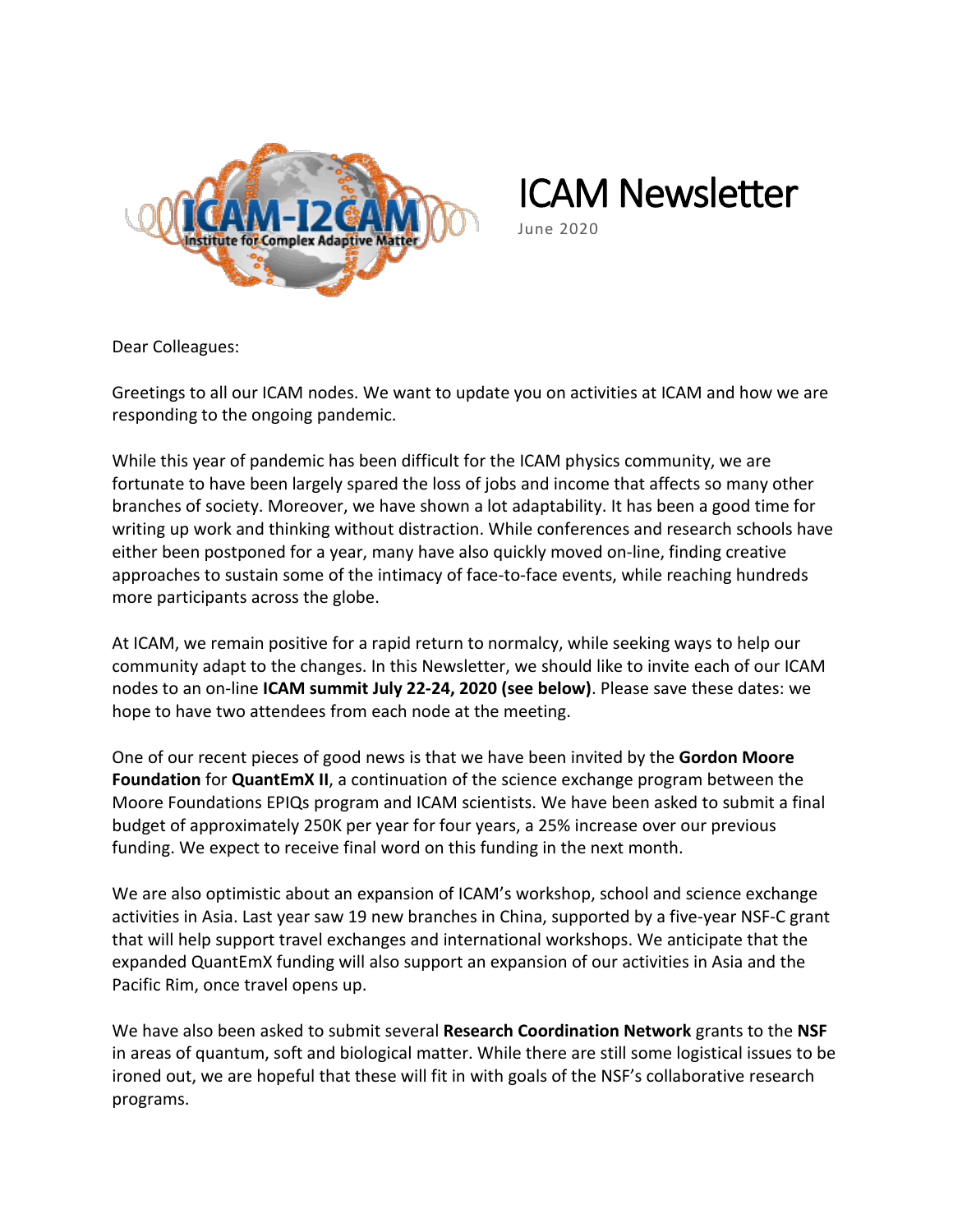

## ICAM Newsletter

June 2020

Dear Colleagues:

Greetings to all our ICAM nodes. We want to update you on activities at ICAM and how we are responding to the ongoing pandemic.

While this year of pandemic has been difficult for the ICAM physics community, we are fortunate to have been largely spared the loss of jobs and income that affects so many other branches of society. Moreover, we have shown a lot adaptability. It has been a good time for writing up work and thinking without distraction. While conferences and research schools have either been postponed for a year, many have also quickly moved on-line, finding creative approaches to sustain some of the intimacy of face-to-face events, while reaching hundreds more participants across the globe.

At ICAM, we remain positive for a rapid return to normalcy, while seeking ways to help our community adapt to the changes. In this Newsletter, we should like to invite each of our ICAM nodes to an on-line **ICAM summit July 22-24, 2020 (see below)**. Please save these dates: we hope to have two attendees from each node at the meeting.

One of our recent pieces of good news is that we have been invited by the **Gordon Moore Foundation** for **QuantEmX II**, a continuation of the science exchange program between the Moore Foundations EPIQs program and ICAM scientists. We have been asked to submit a final budget of approximately 250K per year for four years, a 25% increase over our previous funding. We expect to receive final word on this funding in the next month.

We are also optimistic about an expansion of ICAM's workshop, school and science exchange activities in Asia. Last year saw 19 new branches in China, supported by a five-year NSF-C grant that will help support travel exchanges and international workshops. We anticipate that the expanded QuantEmX funding will also support an expansion of our activities in Asia and the Pacific Rim, once travel opens up.

We have also been asked to submit several **Research Coordination Network** grants to the **NSF** in areas of quantum, soft and biological matter. While there are still some logistical issues to be ironed out, we are hopeful that these will fit in with goals of the NSF's collaborative research programs.